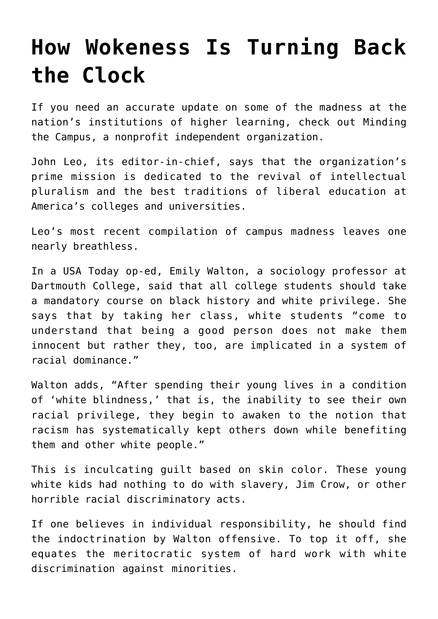## **[How Wokeness Is Turning Back](https://intellectualtakeout.org/2019/10/how-wokeness-is-turning-back-the-clock/) [the Clock](https://intellectualtakeout.org/2019/10/how-wokeness-is-turning-back-the-clock/)**

If you need an accurate update on some of the madness at the nation's institutions of higher learning, check out Minding the Campus, a nonprofit independent organization.

John Leo, its editor-in-chief, says that the organization's prime mission is dedicated to the revival of intellectual pluralism and the best traditions of liberal education at America's colleges and universities.

Leo's most recent compilation of campus madness leaves one nearly breathless.

In a USA Today op-ed, Emily Walton, a sociology professor at Dartmouth College, said that all college students should take a mandatory course on black history and white privilege. She says that by taking her class, white students "come to understand that being a good person does not make them innocent but rather they, too, are implicated in a system of racial dominance."

Walton adds, "After spending their young lives in a condition of 'white blindness,' that is, the inability to see their own racial privilege, they begin to awaken to the notion that racism has systematically kept others down while benefiting them and other white people."

This is inculcating guilt based on skin color. These young white kids had nothing to do with slavery, Jim Crow, or other horrible racial discriminatory acts.

If one believes in individual responsibility, he should find the indoctrination by Walton offensive. To top it off, she equates the meritocratic system of hard work with white discrimination against minorities.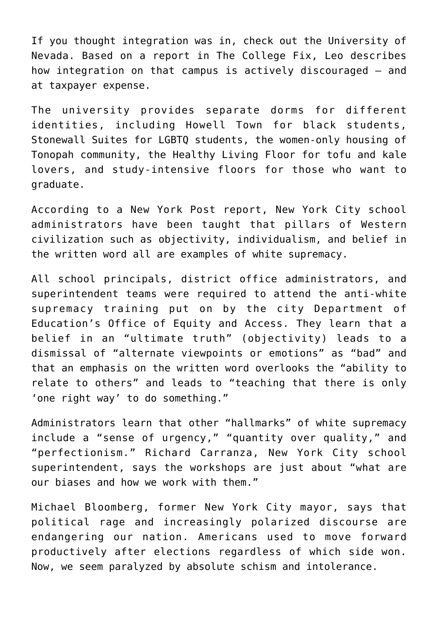If you thought integration was in, check out the University of Nevada. Based on a report in The College Fix, Leo describes how integration on that campus is actively discouraged – and at taxpayer expense.

The university provides separate dorms for different identities, including Howell Town for black students, Stonewall Suites for LGBTQ students, the women-only housing of Tonopah community, the Healthy Living Floor for tofu and kale lovers, and study-intensive floors for those who want to graduate.

According to a New York Post report, New York City school administrators have been taught that pillars of Western civilization such as objectivity, individualism, and belief in the written word all are examples of white supremacy.

All school principals, district office administrators, and superintendent teams were required to attend the anti-white supremacy training put on by the city Department of Education's Office of Equity and Access. They learn that a belief in an "ultimate truth" (objectivity) leads to a dismissal of "alternate viewpoints or emotions" as "bad" and that an emphasis on the written word overlooks the "ability to relate to others" and leads to "teaching that there is only 'one right way' to do something."

Administrators learn that other "hallmarks" of white supremacy include a "sense of urgency," "quantity over quality," and "perfectionism." Richard Carranza, New York City school superintendent, says the workshops are just about "what are our biases and how we work with them."

Michael Bloomberg, former New York City mayor, says that political rage and increasingly polarized discourse are endangering our nation. Americans used to move forward productively after elections regardless of which side won. Now, we seem paralyzed by absolute schism and intolerance.